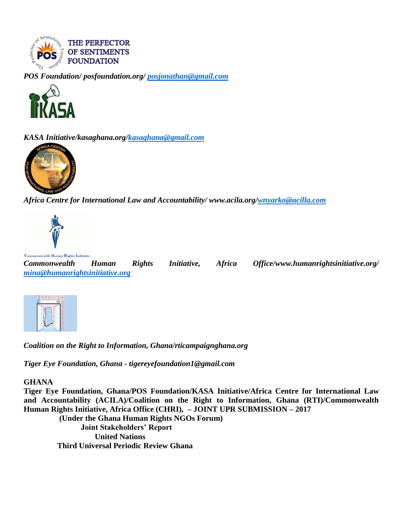

*POS Foundation/ posfoundation.org/ [posjonathan@gmail.com](mailto:posjonathan@gmail.com)*



*KASA Initiative/kasaghana.org[/kasaghana@gmail.com](mailto:kasaghana@gmail.com)*



*Africa Centre for International Law and Accountability/ www.acila.org[/wnyarko@acilla.com](mailto:wnyarko@acilaa.com)*



Commonwealth Human Rights Initiative

*Commonwealth Human Rights Initiative, Africa Office/www.humanrightsinitiative.org/ [mina@humanrightsinitiative.org](mailto:mina@humanrightsinitiative.org)*



*Coalition on the Right to Information, Ghana/rticampaignghana.org*

*Tiger Eye Foundation, Ghana - tigereyefoundation1@gmail.com*

#### **GHANA**

**Tiger Eye Foundation, Ghana/POS Foundation/KASA Initiative/Africa Centre for International Law and Accountability (ACILA)/Coalition on the Right to Information, Ghana (RTI)/Commonwealth Human Rights Initiative, Africa Office (CHRI), – JOINT UPR SUBMISSION – 2017 (Under the Ghana Human Rights NGOs Forum) Joint Stakeholders' Report United Nations**

 **Third Universal Periodic Review Ghana**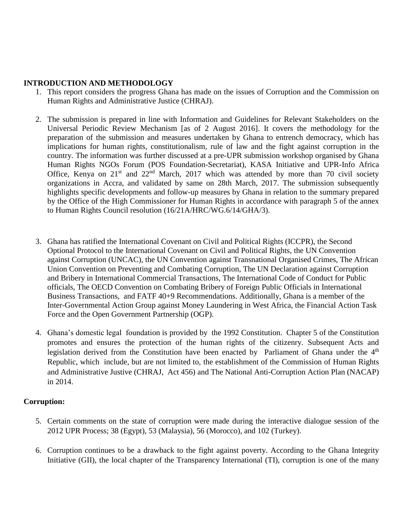### **INTRODUCTION AND METHODOLOGY**

- 1. This report considers the progress Ghana has made on the issues of Corruption and the Commission on Human Rights and Administrative Justice (CHRAJ).
- 2. The submission is prepared in line with Information and Guidelines for Relevant Stakeholders on the Universal Periodic Review Mechanism [as of 2 August 2016]. It covers the methodology for the preparation of the submission and measures undertaken by Ghana to entrench democracy, which has implications for human rights, constitutionalism, rule of law and the fight against corruption in the country. The information was further discussed at a pre-UPR submission workshop organised by Ghana Human Rights NGOs Forum (POS Foundation-Secretariat), KASA Initiative and UPR-Info Africa Office, Kenya on  $21^{st}$  and  $22^{nd}$  March, 2017 which was attended by more than 70 civil society organizations in Accra, and validated by same on 28th March, 2017. The submission subsequently highlights specific developments and follow-up measures by Ghana in relation to the summary prepared by the Office of the High Commissioner for Human Rights in accordance with paragraph 5 of the annex to Human Rights Council resolution (16/21A/HRC/WG.6/14/GHA/3).
- 3. Ghana has ratified the International Covenant on Civil and Political Rights (ICCPR), the Second Optional Protocol to the International Covenant on Civil and Political Rights, the UN Convention against Corruption (UNCAC), the UN Convention against Transnational Organised Crimes, The African Union Convention on Preventing and Combating Corruption, The UN Declaration against Corruption and Bribery in International Commercial Transactions, The International Code of Conduct for Public officials, The OECD Convention on Combating Bribery of Foreign Public Officials in International Business Transactions, and FATF 40+9 Recommendations. Additionally, Ghana is a member of the Inter-Governmental Action Group against Money Laundering in West Africa, the Financial Action Task Force and the Open Government Partnership (OGP).
- 4. Ghana's domestic legal foundation is provided by the 1992 Constitution. Chapter 5 of the Constitution promotes and ensures the protection of the human rights of the citizenry. Subsequent Acts and legislation derived from the Constitution have been enacted by Parliament of Ghana under the 4<sup>th</sup> Republic, which include, but are not limited to, the establishment of the Commission of Human Rights and Administrative Justive (CHRAJ, Act 456) and The National Anti-Corruption Action Plan (NACAP) in 2014.

## **Corruption:**

- 5. Certain comments on the state of corruption were made during the interactive dialogue session of the 2012 UPR Process; 38 (Egypt), 53 (Malaysia), 56 (Morocco), and 102 (Turkey).
- 6. Corruption continues to be a drawback to the fight against poverty. According to the Ghana Integrity Initiative (GII), the local chapter of the Transparency International (TI), corruption is one of the many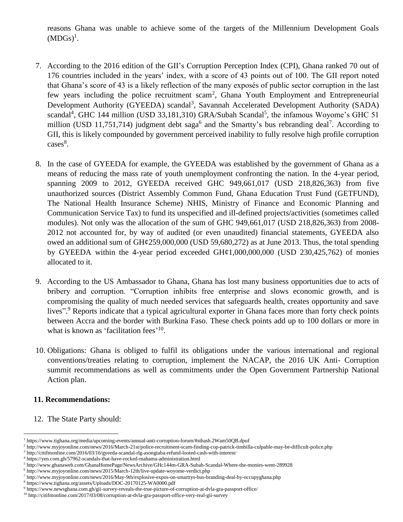reasons Ghana was unable to achieve some of the targets of the Millennium Development Goals  $(MDGs)^1$ .

- 7. According to the 2016 edition of the GII's Corruption Perception Index (CPI), Ghana ranked 70 out of 176 countries included in the years' index, with a score of 43 points out of 100. The GII report noted that Ghana's score of 43 is a likely reflection of the many exposés of public sector corruption in the last few years including the police recruitment scam<sup>2</sup>, Ghana Youth Employment and Entrepreneurial Development Authority (GYEEDA) scandal<sup>3</sup>, Savannah Accelerated Development Authority (SADA) scandal<sup>4</sup>, GHC 144 million (USD 33,181,310) GRA/Subah Scandal<sup>5</sup>, the infamous Woyome's GHC 51 million (USD 11,751,714) judgment debt saga<sup>6</sup> and the Smartty's bus rebranding deal<sup>7</sup>. According to GII, this is likely compounded by government perceived inability to fully resolve high profile corruption cases<sup>8</sup>.
- 8. In the case of GYEEDA for example, the GYEEDA was established by the government of Ghana as a means of reducing the mass rate of youth unemployment confronting the nation. In the 4-year period, spanning 2009 to 2012, GYEEDA received GHC 949,661,017 (USD 218,826,363) from five unauthorized sources (District Assembly Common Fund, Ghana Education Trust Fund (GETFUND), The National Health Insurance Scheme) NHIS, Ministry of Finance and Economic Planning and Communication Service Tax) to fund its unspecified and ill-defined projects/activities (sometimes called modules). Not only was the allocation of the sum of GHC 949,661,017 (USD 218,826,363) from 2008- 2012 not accounted for, by way of audited (or even unaudited) financial statements, GYEEDA also owed an additional sum of GH¢259,000,000 (USD 59,680,272) as at June 2013. Thus, the total spending by GYEEDA within the 4-year period exceeded  $GH¢1,000,000,000$  (USD 230,425,762) of monies allocated to it.
- 9. According to the US Ambassador to Ghana, Ghana has lost many business opportunities due to acts of bribery and corruption. "Corruption inhibits free enterprise and slows economic growth, and is compromising the quality of much needed services that safeguards health, creates opportunity and save lives".<sup>9</sup> Reports indicate that a typical agricultural exporter in Ghana faces more than forty check points between Accra and the border with Burkina Faso. These check points add up to 100 dollars or more in what is known as 'facilitation fees'<sup>10</sup>.
- 10. Obligations: Ghana is obliged to fulfil its obligations under the various international and regional conventions/treaties relating to corruption, implement the NACAP, the 2016 UK Anti- Corruption summit recommendations as well as commitments under the Open Government Partnership National Action plan.

#### **11. Recommendations:**

 $\overline{a}$ 

12. The State Party should:

<sup>1</sup> https://www.tighana.org/media/upcoming-events/annual-anti-corruption-forum/#sthash.2Wam50QB.dpuf

<sup>2</sup> http://www.myjoyonline.com/news/2016/March-21st/police-recruitment-scam-finding-cop-patrick-timbilla-culpable-may-be-difficult-police.php

<sup>&</sup>lt;sup>3</sup> http://citifmonline.com/2016/03/16/gyeeda-scandal-rlg-asongtaba-refund-looted-cash-with-interest/

<sup>4</sup> https://yen.com.gh/57962-scandals-that-have-rocked-mahama-administration.html

<sup>5</sup> http://www.ghanaweb.com/GhanaHomePage/NewsArchive/GHc144m-GRA-Subah-Scandal-Where-the-monies-went-289928

<sup>6</sup> http://www.myjoyonline.com/news/2015/March-12th/live-update-woyome-verdict.php

<sup>7</sup> http://www.myjoyonline.com/news/2016/May-9th/explosive-expos-on-smarttys-bus-branding-deal-by-occupyghana.php

<sup>8</sup> https://www.tighana.org/assets/Uploads/DOC-20170125-WA0000.pdf

<sup>9</sup> https://www.newsghana.com.gh/gii-survey-reveals-the-true-picture-of-corruption-at-dvla-gra-passport-office/

<sup>10</sup> http://citifmonline.com/2017/03/08/corruption-at-dvla-gra-passport-office-very-real-gii-survey